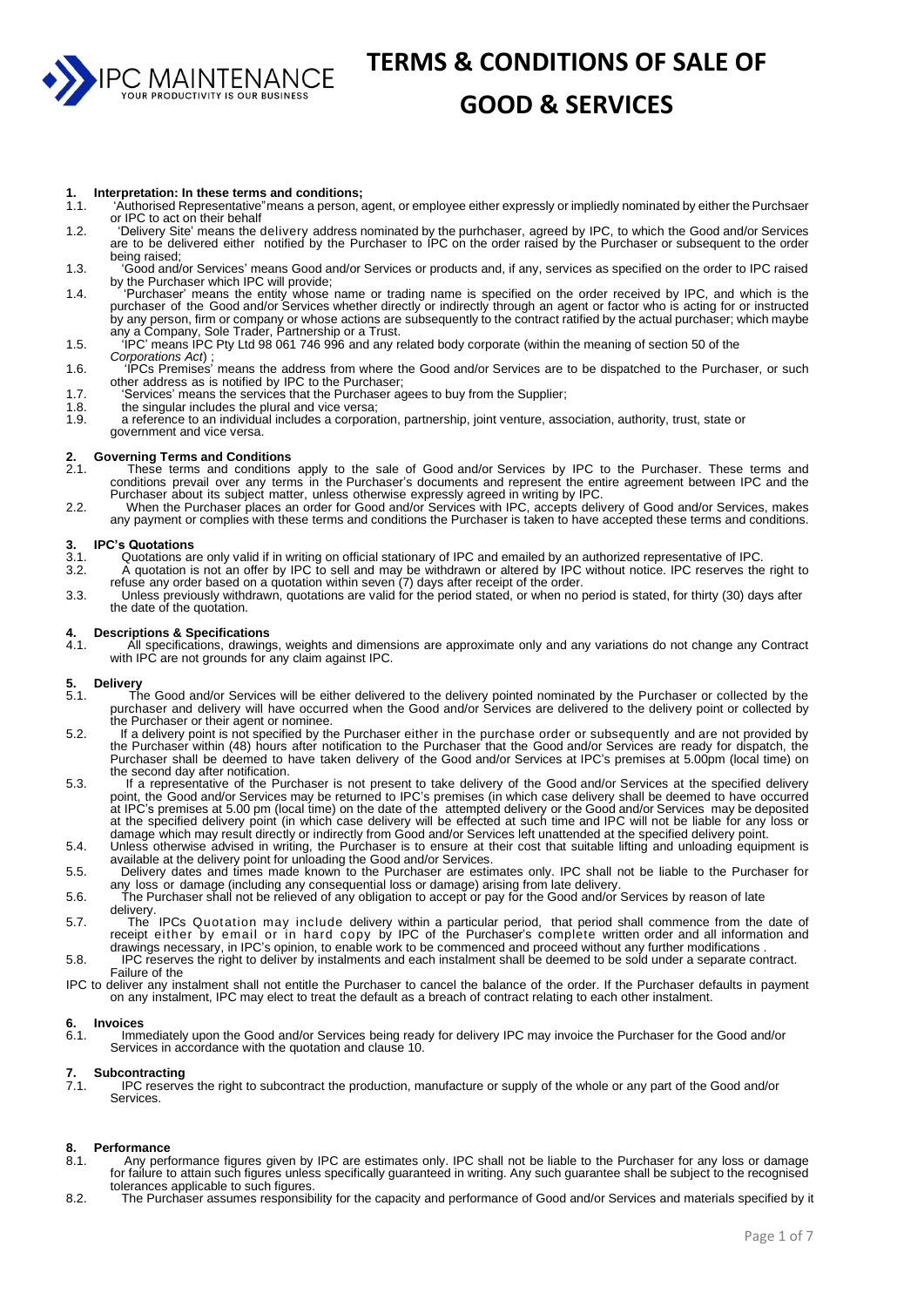PC MAINTENANCE

# **TERMS & CONDITIONS OF SALE OF**

#### **GOOD & SERVICES**

#### **1. Interpretation: In these terms and conditions;**

- 1.1. 'Authorised Representative"means a person, agent, or employee either expressly or impliedly nominated by either the Purchsaer or IPC to act on their behalf
- 1.2. 'Delivery Site' means the delivery address nominated by the purhchaser, agreed by IPC, to which the Good and/or Services are to be delivered either notified by the Purchaser to IPC on the order raised by the Purchaser or subsequent to the order being raised;
- 1.3. 'Good and/or Services' means Good and/or Services or products and, if any, services as specified on the order to IPC raised by the Purchaser which IPC will provide;
- 1.4. 'Purchaser' means the entity whose name or trading name is specified on the order received by IPC, and which is the purchaser of the Good and/or Services whether directly or indirectly through an agent or factor who is acting for or instructed by any person, firm or company or whose actions are subsequently to the contract ratified by the actual purchaser; which maybe any a Company, Sole Trader, Partnership or a Trust.
- 1.5. 'IPC' means IPC Pty Ltd 98 061 746 996 and any related body corporate (within the meaning of section 50 of the *Corporations Act*) ;
- 1.6. 'IPCs Premises' means the address from where the Good and/or Services are to be dispatched to the Purchaser, or such other address as is notified by IPC to the Purchaser;
- 1.7. 'Services' means the services that the Purchaser agees to buy from the Supplier;
- 1.8. the singular includes the plural and vice versa;
- 1.9. a reference to an individual includes a corporation, partnership, joint venture, association, authority, trust, state or government and vice versa.

#### **2. Governing Terms and Conditions**

- These terms and conditions apply to the sale of Good and/or Services by IPC to the Purchaser. These terms and conditions prevail over any terms in the Purchaser's documents and represent the entire agreement between IPC and the Purchaser about its subject matter, unless otherwise expressly agreed in writing by IPC.
- 2.2. When the Purchaser places an order for Good and/or Services with IPC, accepts delivery of Good and/or Services, makes any payment or complies with these terms and conditions the Purchaser is taken to have accepted these terms and conditions.

#### **3. IPC's Quotations**

- 3.1. Quotations are only valid if in writing on official stationary of IPC and emailed by an authorized representative of IPC.<br>3.2. A quotation is not an offer by IPC to sell and may be withdrawn or altered by IPC without
- 3.2. A quotation is not an offer by IPC to sell and may be withdrawn or altered by IPC without notice. IPC reserves the right to refuse any order based on a quotation within seven (7) days after receipt of the order.
- 3.3. Unless previously withdrawn, quotations are valid for the period stated, or when no period is stated, for thirty (30) days after the date of the quotation.

#### **4. Descriptions & Specifications**

4.1. All specifications, drawings, weights and dimensions are approximate only and any variations do not change any Contract with IPC are not grounds for any claim against IPC.

## **5. Delivery**

- The Good and/or Services will be either delivered to the delivery pointed nominated by the Purchaser or collected by the purchaser and delivery will have occurred when the Good and/or Services are delivered to the delivery point or collected by the Purchaser or their agent or nominee.
- 5.2. If a delivery point is not specified by the Purchaser either in the purchase order or subsequently and are not provided by the Purchaser within (48) hours after notification to the Purchaser that the Good and/or Services are ready for dispatch, the Purchaser shall be deemed to have taken delivery of the Good and/or Services at IPC's premises at 5.00pm (local time) on the second day after notification.
- 5.3. If a representative of the Purchaser is not present to take delivery of the Good and/or Services at the specified delivery point, the Good and/or Services may be returned to IPC's premises (in which case delivery shall be deemed to have occurred at IPC's premises at 5.00 pm (local time) on the date of the attempted delivery or the Good and/or Services may be deposited at the specified delivery point (in which case delivery will be effected at such time and IPC will not be liable for any loss or damage which may result directly or indirectly from Good and/or Services left unattended at the specified delivery point.
- 5.4. Unless otherwise advised in writing, the Purchaser is to ensure at their cost that suitable lifting and unloading equipment is available at the delivery point for unloading the Good and/or Services.
- 5.5. Delivery dates and times made known to the Purchaser are estimates only. IPC shall not be liable to the Purchaser for any loss or damage (including any consequential loss or damage) arising from late delivery.
- 5.6. The Purchaser shall not be relieved of any obligation to accept or pay for the Good and/or Services by reason of late delivery.
- 5.7. The IPCs Quotation may include delivery within a particular period, that period shall commence from the date of receipt either by email or in hard copy by IPC of the Purchaser's complete written order and all information and drawings necessary, in IPC's opinion, to enable work to be commenced and proceed without any further modifications .
- 5.8. IPC reserves the right to deliver by instalments and each instalment shall be deemed to be sold under a separate contract. Failure of the
- IPC to deliver any instalment shall not entitle the Purchaser to cancel the balance of the order. If the Purchaser defaults in payment on any instalment, IPC may elect to treat the default as a breach of contract relating to each other instalment.

#### **6. Invoices**

6.1. Immediately upon the Good and/or Services being ready for delivery IPC may invoice the Purchaser for the Good and/or Services in accordance with the quotation and clause 10.

#### **7. Subcontracting**

IPC reserves the right to subcontract the production, manufacture or supply of the whole or any part of the Good and/or Services.

#### **8. Performance**

- Any performance figures given by IPC are estimates only. IPC shall not be liable to the Purchaser for any loss or damage for failure to attain such figures unless specifically guaranteed in writing. Any such guarantee shall be subject to the recognised tolerances applicable to such figures.
- 8.2. The Purchaser assumes responsibility for the capacity and performance of Good and/or Services and materials specified by it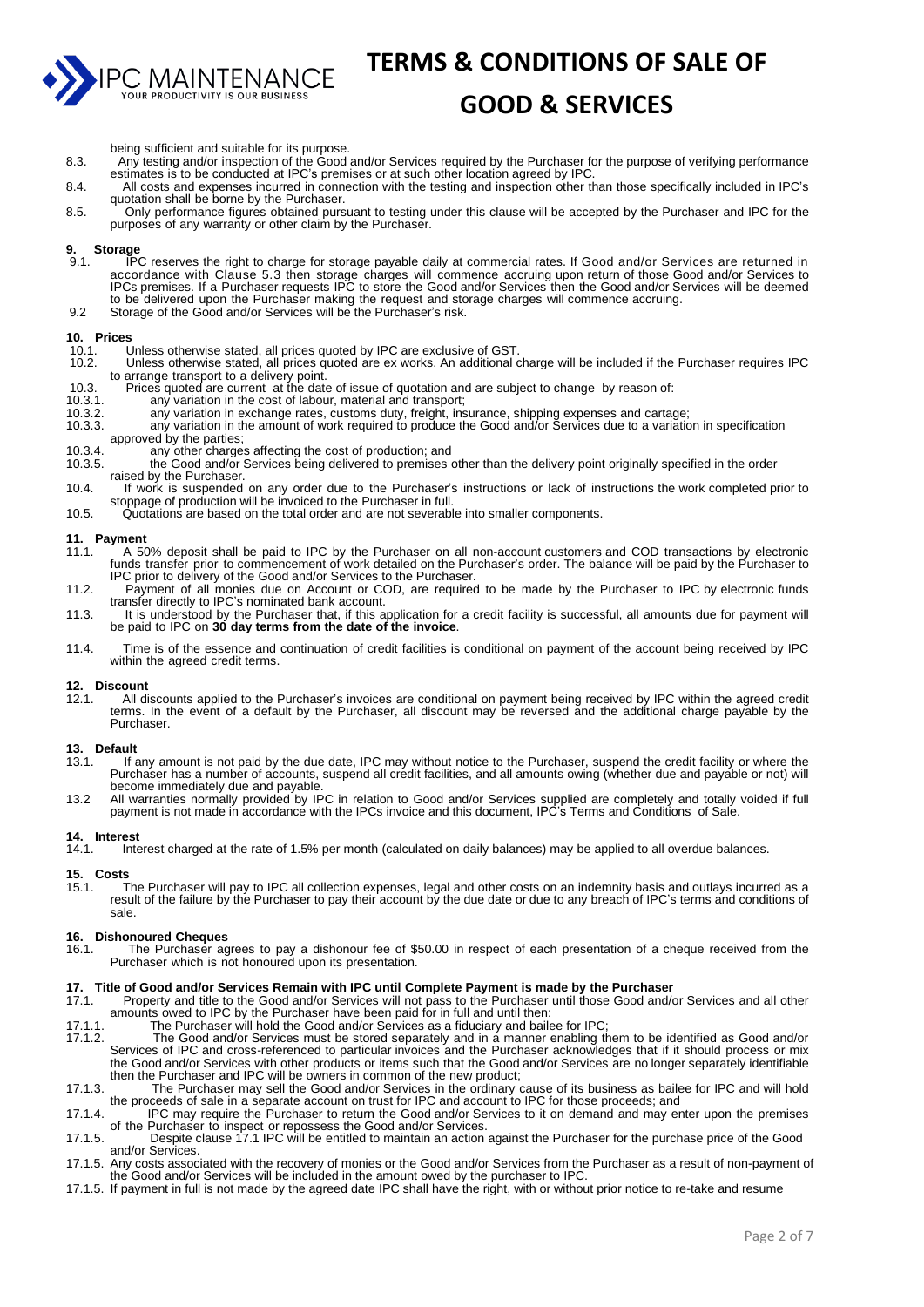

#### **GOOD & SERVICES**

- being sufficient and suitable for its purpose.
- 8.3. Any testing and/or inspection of the Good and/or Services required by the Purchaser for the purpose of verifying performance estimates is to be conducted at IPC's premises or at such other location agreed by IPC
- 8.4. All costs and expenses incurred in connection with the testing and inspection other than those specifically included in IPC's quotation shall be borne by the Purchaser.
- 8.5. Only performance figures obtained pursuant to testing under this clause will be accepted by the Purchaser and IPC for the purposes of any warranty or other claim by the Purchaser.

#### **9. Storage**

- 9.1. IPC reserves the right to charge for storage payable daily at commercial rates. If Good and/or Services are returned in accordance with Clause 5.3 then storage charges will commence accruing upon return of those Good and/or Services to IPCs premises. If a Purchaser requests IPC to store the Good and/or Services then the Good and/or Services to<br>IPCs premises. If a Purchaser requests IPC to store the Good and/or Services then the Good and/or Services will to be delivered upon the Purchaser making the request and storage charges will commence accruing.
- 9.2 Storage of the Good and/or Services will be the Purchaser's risk.

#### **10. Prices**

- 10.1. Unless otherwise stated, all prices quoted by IPC are exclusive of GST.<br>10.2. Unless otherwise stated, all prices quoted are ex works. An additional c
- 10.2. Unless otherwise stated, all prices quoted are ex works. An additional charge will be included if the Purchaser requires IPC to arrange transport to a delivery point.
- 10.3. Prices quoted are current at the date of issue of quotation and are subject to change by reason of:
- 10.3.1. any variation in the cost of labour, material and transport;<br>10.3.2. any variation in exchange rates, customs duty, freight, ins
- 10.3.2. any variation in exchange rates, customs duty, freight, insurance, shipping expenses and cartage; 10.3.3. any variation in the amount of work required to produce the Good and/or Services due to a variation in specification
- approved by the parties;
- 10.3.4. any other charges affecting the cost of production; and<br>10.3.5. the Good and/or Services being delivered to premises
- the Good and/or Services being delivered to premises other than the delivery point originally specified in the order raised by the Purchaser.
- 10.4. If work is suspended on any order due to the Purchaser's instructions or lack of instructions the work completed prior to stoppage of production will be invoiced to the Purchaser in full.
- 10.5. Quotations are based on the total order and are not severable into smaller components.

#### **11. Payment**

- 11.1. A 50% deposit shall be paid to IPC by the Purchaser on all non-account customers and COD transactions by electronic funds transfer prior to commencement of work detailed on the Purchaser's order. The balance will be paid by the Purchaser to IPC prior to delivery of the Good and/or Services to the Purchaser.
- 11.2. Payment of all monies due on Account or COD, are required to be made by the Purchaser to IPC by electronic funds transfer directly to IPC's nominated bank account.
- 11.3. It is understood by the Purchaser that, if this application for a credit facility is successful, all amounts due for payment will be paid to IPC on **30 day terms from the date of the invoice**.
- 11.4. Time is of the essence and continuation of credit facilities is conditional on payment of the account being received by IPC within the agreed credit terms.

#### **12. Discount**

12.1. All discounts applied to the Purchaser's invoices are conditional on payment being received by IPC within the agreed credit terms. In the event of a default by the Purchaser, all discount may be reversed and the additional charge payable by the Purchaser.

#### **13. Default**

- If any amount is not paid by the due date, IPC may without notice to the Purchaser, suspend the credit facility or where the Purchaser has a number of accounts, suspend all credit facilities, and all amounts owing (whether due and payable or not) will become immediately due and payable.
- 13.2 All warranties normally provided by IPC in relation to Good and/or Services supplied are completely and totally voided if full payment is not made in accordance with the IPCs invoice and this document, IPC's Terms and Conditions of Sale.

#### **14. Interest**

Interest charged at the rate of 1.5% per month (calculated on daily balances) may be applied to all overdue balances.

## **15. Costs**

15.1. The Purchaser will pay to IPC all collection expenses, legal and other costs on an indemnity basis and outlays incurred as a result of the failure by the Purchaser to pay their account by the due date or due to any breach of IPC's terms and conditions of sale.

#### **16. Dishonoured Cheques**

16.1. The Purchaser agrees to pay a dishonour fee of \$50.00 in respect of each presentation of a cheque received from the Purchaser which is not honoured upon its presentation.

#### **17. Title of Good and/or Services Remain with IPC until Complete Payment is made by the Purchaser<br>17.1 Property and title to the Good and/or Services will not pass to the Purchaser until those Good and/**

- 17.1. Property and title to the Good and/or Services will not pass to the Purchaser until those Good and/or Services and all other amounts owed to IPC by the Purchaser have been paid for in full and until then:
- 17.1.1. The Purchaser will hold the Good and/or Services as a fiduciary and bailee for IPC;
- 17.1.2. The Good and/or Services must be stored separately and in a manner enabling them to be identified as Good and/or Services of IPC and cross-referenced to particular invoices and the Purchaser acknowledges that if it should process or mix the Good and/or Services with other products or items such that the Good and/or Services are no longer separately identifiable then the Purchaser and IPC will be owners in common of the new product;
- 17.1.3. The Purchaser may sell the Good and/or Services in the ordinary cause of its business as bailee for IPC and will hold the proceeds of sale in a separate account on trust for IPC and account to IPC for those proceeds; and
- 17.1.4. IPC may require the Purchaser to return the Good and/or Services to it on demand and may enter upon the premises of the Purchaser to inspect or repossess the Good and/or Services.
- 17.1.5. Despite clause 17.1 IPC will be entitled to maintain an action against the Purchaser for the purchase price of the Good and/or Services.
- 17.1.5. Any costs associated with the recovery of monies or the Good and/or Services from the Purchaser as a result of non-payment of the Good and/or Services will be included in the amount owed by the purchaser to IPC.
- 17.1.5. If payment in full is not made by the agreed date IPC shall have the right, with or without prior notice to re-take and resume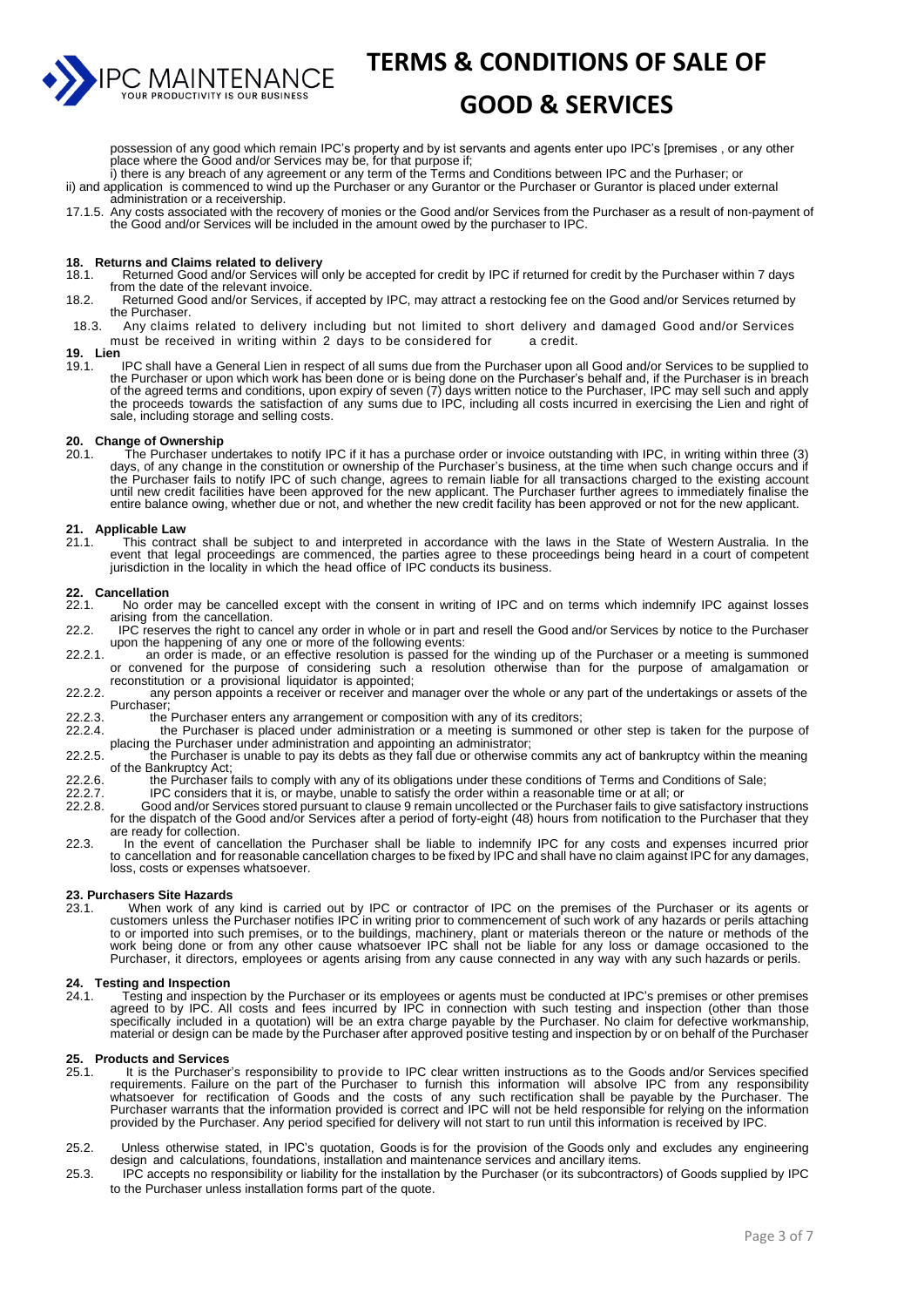

#### **GOOD & SERVICES**

possession of any good which remain IPC's property and by ist servants and agents enter upo IPC's [premises , or any other place where the Good and/or Services may be, for that purpose if;

i) there is any breach of any agreement or any term of the Terms and Conditions between IPC and the Purhaser; or ii) and application is commenced to wind up the Purchaser or any Gurantor or the Purchaser or Gurantor is placed under external administration or a receivership.

17.1.5. Any costs associated with the recovery of monies or the Good and/or Services from the Purchaser as a result of non-payment of the Good and/or Services will be included in the amount owed by the purchaser to IPC.

## **18. Returns and Claims related to delivery**

- Returned Good and/or Services will only be accepted for credit by IPC if returned for credit by the Purchaser within 7 days from the date of the relevant invoice.
- 18.2. Returned Good and/or Services, if accepted by IPC, may attract a restocking fee on the Good and/or Services returned by the Purchaser.
- 18.3. Any claims related to delivery including but not limited to short delivery and damaged Good and/or Services must be received in writing within 2 days to be considered for a credit. must be received in writing within 2 days to be considered for
- **19. Lien**
- 19.1. IPC shall have a General Lien in respect of all sums due from the Purchaser upon all Good and/or Services to be supplied to the Purchaser or upon which work has been done or is being done on the Purchaser's behalf and, if the Purchaser is in breach of the agreed terms and conditions, upon expiry of seven (7) days written notice to the Purchaser, IPC may sell such and apply the proceeds towards the satisfaction of any sums due to IPC, including all costs incurred in exercising the Lien and right of sale, including storage and selling costs.

#### **20. Change of Ownership**

20.1. The Purchaser undertakes to notify IPC if it has a purchase order or invoice outstanding with IPC, in writing within three (3) days, of any change in the constitution or ownership of the Purchaser's business, at the time when such change occurs and if the Purchaser fails to notify IPC of such change, agrees to remain liable for all transactions charged to the existing account until new credit facilities have been approved for the new applicant. The Purchaser further agrees to immediately finalise the entire balance owing, whether due or not, and whether the new credit facility has been approved or not for the new applicant.

#### **21. Applicable Law**

21.1. This contract shall be subject to and interpreted in accordance with the laws in the State of Western Australia. In the event that legal proceedings are commenced, the parties agree to these proceedings being heard in a court of competent jurisdiction in the locality in which the head office of IPC conducts its business.

#### **22. Cancellation**

- 22.1. No order may be cancelled except with the consent in writing of IPC and on terms which indemnify IPC against losses arising from the cancellation.
- 22.2. IPC reserves the right to cancel any order in whole or in part and resell the Good and/or Services by notice to the Purchaser upon the happening of any one or more of the following events:
- 22.2.1. an order is made, or an effective resolution is passed for the winding up of the Purchaser or a meeting is summoned or convened for the purpose of considering such a resolution otherwise than for the purpose of amalgamation or reconstitution or a provisional liquidator is appointed;
- 22.2.2. any person appoints a receiver or receiver and manager over the whole or any part of the undertakings or assets of the Purchaser;
- 22.2.3. the Purchaser enters any arrangement or composition with any of its creditors;<br>22.2.4. the Purchaser is placed under administration or a meeting is summoned of
- 22.2.4. the Purchaser is placed under administration or a meeting is summoned or other step is taken for the purpose of
- placing the Purchaser under administration and appointing an administrator; 22.2.5. the Purchaser is unable to pay its debts as they fall due or otherwise commits any act of bankruptcy within the meaning of the Bankruptcy Act;
- 22.2.6. the Purchaser fails to comply with any of its obligations under these conditions of Terms and Conditions of Sale;
- 
- 22.2.7. IPC considers that it is, or maybe, unable to satisfy the order within a reasonable time or at all; or<br>22.2.8. Good and/or Services stored pursuant to clause 9 remain uncollected or the Purchaser fails to give s 22.2.8. Good and/or Services stored pursuant to clause 9 remain uncollected or the Purchaser fails to give satisfactory instructions for the dispatch of the Good and/or Services after a period of forty-eight (48) hours from notification to the Purchaser that they are ready for collection.
- 22.3. In the event of cancellation the Purchaser shall be liable to indemnify IPC for any costs and expenses incurred prior<br>to cancellation and for reasonable cancellation charges to be fixed by IPC and shall have no claim loss, costs or expenses whatsoever.

#### **23. Purchasers Site Hazards**<br>23.1 When work of any

23.1. When work of any kind is carried out by IPC or contractor of IPC on the premises of the Purchaser or its agents or customers unless the Purchaser notifies IPC in writing prior to commencement of such work of any hazards or perils attaching to or imported into such premises, or to the buildings, machinery, plant or materials thereon or the nature or methods of the work being done or from any other cause whatsoever IPC shall not be liable for any loss or damage occasioned to the Purchaser, it directors, employees or agents arising from any cause connected in any way with any such hazards or perils.

#### **24. Testing and Inspection**

24.1. Testing and inspection by the Purchaser or its employees or agents must be conducted at IPC's premises or other premises agreed to by IPC. All costs and fees incurred by IPC in connection with such testing and inspection (other than those specifically included in a quotation) will be an extra charge payable by the Purchaser. No claim for defective workmanship, material or design can be made by the Purchaser after approved positive testing and inspection by or on behalf of the Purchaser

#### **25. Products and Services**

- 25.1. It is the Purchaser's responsibility to provide to IPC clear written instructions as to the Goods and/or Services specified requirements. Failure on the part of the Purchaser to furnish this information will absolve IPC from any responsibility whatsoever for rectification of Goods and the costs of any such rectification shall be payable by the Purchaser. The Purchaser warrants that the information provided is correct and IPC will not be held responsible for relying on the information provided by the Purchaser. Any period specified for delivery will not start to run until this information is received by IPC.
- 25.2. Unless otherwise stated, in IPC's quotation, Goods is for the provision of the Goods only and excludes any engineering design and calculations, foundations, installation and maintenance services and ancillary items.
- 25.3. IPC accepts no responsibility or liability for the installation by the Purchaser (or its subcontractors) of Goods supplied by IPC to the Purchaser unless installation forms part of the quote.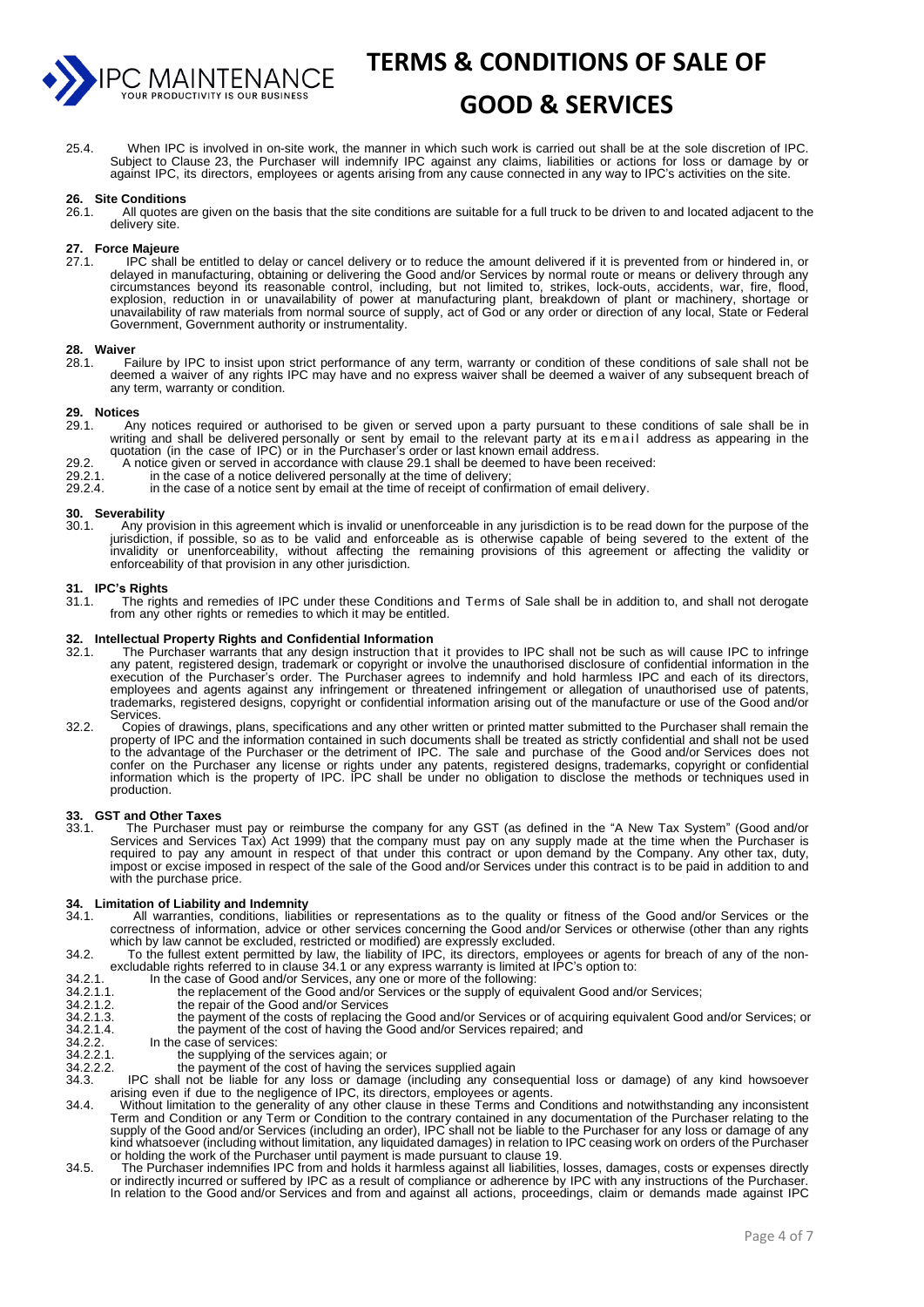

## **GOOD & SERVICES**

25.4. When IPC is involved in on-site work, the manner in which such work is carried out shall be at the sole discretion of IPC. Subject to Clause 23, the Purchaser will indemnify IPC against any claims, liabilities or actions for loss or damage by or against IPC, its directors, employees or agents arising from any cause connected in any way to IPC's activities on the site.

#### **26. Site Conditions**

All quotes are given on the basis that the site conditions are suitable for a full truck to be driven to and located adjacent to the delivery site.

## **27. Force Majeure**

IPC shall be entitled to delay or cancel delivery or to reduce the amount delivered if it is prevented from or hindered in, or delayed in manufacturing, obtaining or delivering the Good and/or Services by normal route or means or delivery through any circumstances beyond its reasonable control, including, but not limited to, strikes, lock-outs, accidents, war, fire, flood, explosion, reduction in or unavailability of power at manufacturing plant, breakdown of plant or machinery, shortage or unavailability of raw materials from normal source of supply, act of God or any order or direction of any local, State or Federal Government, Government authority or instrumentality.

#### **28. Waiver**

Failure by IPC to insist upon strict performance of any term, warranty or condition of these conditions of sale shall not be deemed a waiver of any rights IPC may have and no express waiver shall be deemed a waiver of any subsequent breach of any term, warranty or condition.

#### **29. Notices**

- Any notices required or authorised to be given or served upon a party pursuant to these conditions of sale shall be in writing and shall be delivered personally or sent by email to the relevant party at its em a il address as appearing in the quotation (in the case of IPC) or in the Purchaser's order or last known email address.
- 29.2. A notice given or served in accordance with clause 29.1 shall be deemed to have been received:
- 29.2.1. in the case of a notice delivered personally at the time of delivery;
- 29.2.4. in the case of a notice sent by email at the time of receipt of confirmation of email delivery.

## **30. Severability**

Any provision in this agreement which is invalid or unenforceable in any jurisdiction is to be read down for the purpose of the jurisdiction, if possible, so as to be valid and enforceable as is otherwise capable of being severed to the extent of the invalidity or unenforceability, without affecting the remaining provisions of this agreement or affecting the validity or enforceability of that provision in any other jurisdiction.

## **31. IPC's Rights**

31.1. The rights and remedies of IPC under these Conditions and Terms of Sale shall be in addition to, and shall not derogate from any other rights or remedies to which it may be entitled.

#### **32. Intellectual Property Rights and Confidential Information**

- The Purchaser warrants that any design instruction that it provides to IPC shall not be such as will cause IPC to infringe any patent, registered design, trademark or copyright or involve the unauthorised disclosure of confidential information in the execution of the Purchaser's order. The Purchaser agrees to indemnify and hold harmless IPC and each of its directors, employees and agents against any infringement or threatened infringement or allegation of unauthorised use of patents, trademarks, registered designs, copyright or confidential information arising out of the manufacture or use of the Good and/or Services.
- 32.2. Copies of drawings, plans, specifications and any other written or printed matter submitted to the Purchaser shall remain the property of IPC and the information contained in such documents shall be treated as strictly confidential and shall not be used to the advantage of the Purchaser or the detriment of IPC. The sale and purchase of the Good and/or Services does not confer on the Purchaser any license or rights under any patents, registered designs, trademarks, copyright or confidential information which is the property of IPC. IPC shall be under no obligation to disclose the methods or techniques used in production.

#### **33. GST and Other Taxes**

33.1. The Purchaser must pay or reimburse the company for any GST (as defined in the "A New Tax System" (Good and/or Services and Services Tax) Act 1999) that the company must pay on any supply made at the time when the Purchaser is required to pay any amount in respect of that under this contract or upon demand by the Company. Any other tax, duty, impost or excise imposed in respect of the sale of the Good and/or Services under this contract is to be paid in addition to and with the purchase price.

#### **34. Limitation of Liability and Indemnity**

- 34.1. All warranties, conditions, liabilities or representations as to the quality or fitness of the Good and/or Services or the correctness of information, advice or other services concerning the Good and/or Services or otherwise (other than any rights which by law cannot be excluded, restricted or modified) are expressly excluded.
- 34.2. To the fullest extent permitted by law, the liability of IPC, its directors, employees or agents for breach of any of the nonexcludable rights referred to in clause 34.1 or any express warranty is limited at IPC's option to:
- 34.2.1. In the case of Good and/or Services, any one or more of the following:<br>34.2.1.1. the replacement of the Good and/or Services or the supply of equivalent Good and/or Services;
- 
- 34.2.1.2. the repair of the Good and/or Services<br>34.2.1.3. the payment of the costs of replacing t 34.2.1.3. the payment of the costs of replacing the Good and/or Services or of acquiring equivalent Good and/or Services; or 34.2.1.4. 34.2.1.4. the payment of the cost of having the Good and/or Services repaired; and<br>34.2.2. In the case of services:<br>34.2.2.1. the supplying of the services again; or
- In the case of services:
- 34.2.2.1. the supplying of the services again; or<br>34.2.2.1. the supplying of the services again; or
- 34.2.2.2. the payment of the cost of having the services supplied again<br>34.3. IPC shall not be liable for any loss or damage (including any cons
- 34.3. IPC shall not be liable for any loss or damage (including any consequential loss or damage) of any kind howsoever arising even if due to the negligence of IPC, its directors, employees or agents.
- 34.4. Without limitation to the generality of any other clause in these Terms and Conditions and notwithstanding any inconsistent Term and Condition or any Term or Condition to the contrary contained in any documentation of the Purchaser relating to the supply of the Good and/or Services (including an order), IPC shall not be liable to the Purchaser for any loss or damage of any kind whatsoever (including without limitation, any liquidated damages) in relation to IPC ceasing work on orders of the Purchaser or holding the work of the Purchaser until payment is made pursuant to clause 19.
- 34.5. The Purchaser indemnifies IPC from and holds it harmless against all liabilities, losses, damages, costs or expenses directly or indirectly incurred or suffered by IPC as a result of compliance or adherence by IPC with any instructions of the Purchaser. In relation to the Good and/or Services and from and against all actions, proceedings, claim or demands made against IPC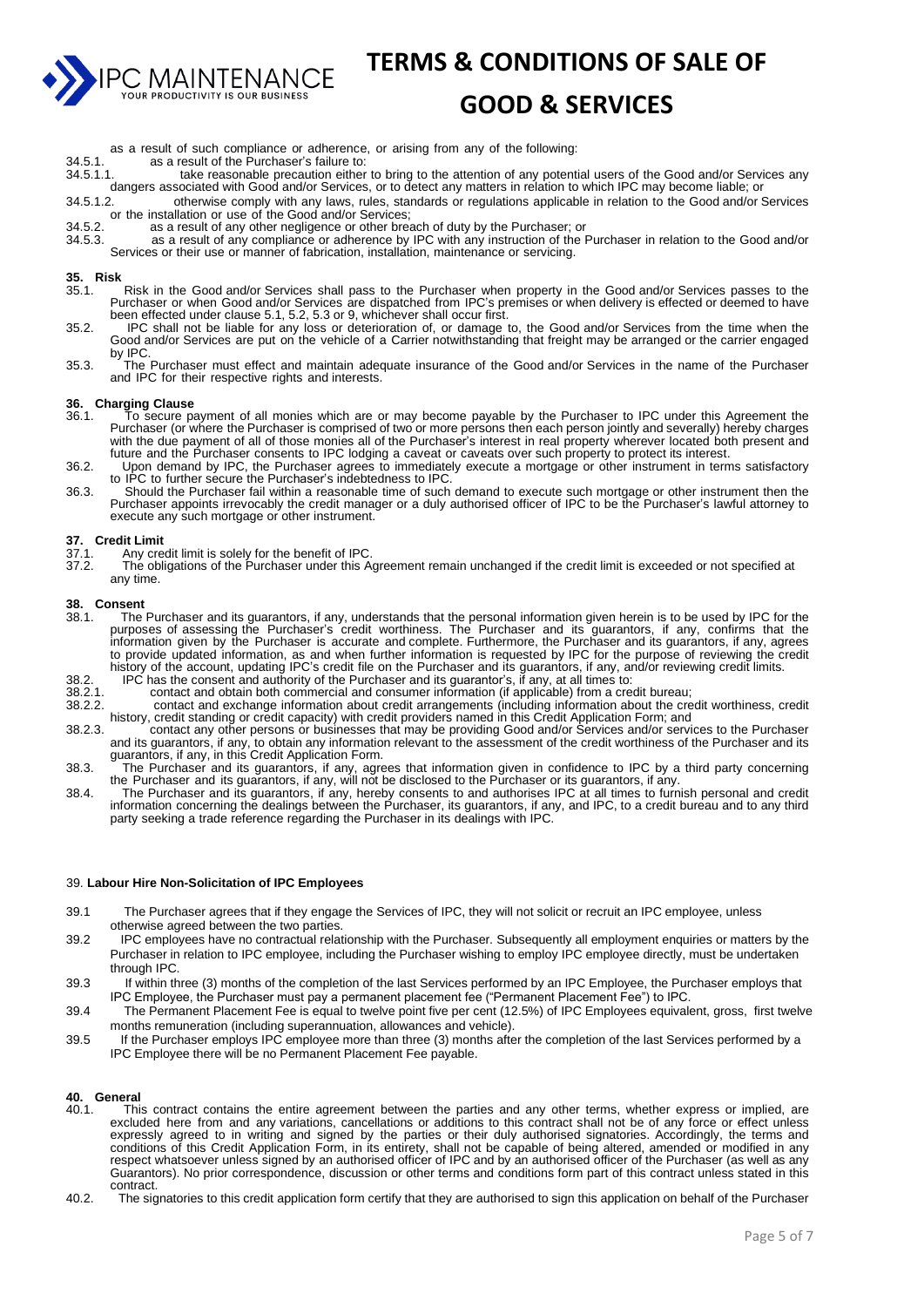

#### **GOOD & SERVICES**

- as a result of such compliance or adherence, or arising from any of the following:
- 34.5.1. as a result of the Purchaser's failure to:<br>34.5.1.1. take reasonable precaution either
- 34.5.1.1. take reasonable precaution either to bring to the attention of any potential users of the Good and/or Services any dangers associated with Good and/or Services, or to detect any matters in relation to which IPC may become liable; or
- 34.5.1.2. otherwise comply with any laws, rules, standards or regulations applicable in relation to the Good and/or Services or the installation or use of the Good and/or Services;
- 34.5.2. as a result of any other negligence or other breach of duty by the Purchaser; or 34.5.3. as a result of any compliance or adherence by IPC with any instruction of the F
- as a result of any compliance or adherence by IPC with any instruction of the Purchaser in relation to the Good and/or Services or their use or manner of fabrication, installation, maintenance or servicing.

#### **35. Risk**

- 35.1. Risk in the Good and/or Services shall pass to the Purchaser when property in the Good and/or Services passes to the Purchaser or when Good and/or Services are dispatched from IPC's premises or when delivery is effected or deemed to have been effected under clause 5.1, 5.2, 5.3 or 9, whichever shall occur first.
- 35.2. IPC shall not be liable for any loss or deterioration of, or damage to, the Good and/or Services from the time when the Good and/or Services are put on the vehicle of a Carrier notwithstanding that freight may be arranged or the carrier engaged by IPC.
- 35.3. The Purchaser must effect and maintain adequate insurance of the Good and/or Services in the name of the Purchaser and IPC for their respective rights and interests.

#### **36. Charging Clause**

- 36.1. To secure payment of all monies which are or may become payable by the Purchaser to IPC under this Agreement the Purchaser (or where the Purchaser is comprised of two or more persons then each person jointly and severally) hereby charges with the due payment of all of those monies all of the Purchaser's interest in real property wherever located both present and future and the Purchaser consents to IPC lodging a caveat or caveats over such property to protect its interest.
- 36.2. Upon demand by IPC, the Purchaser agrees to immediately execute a mortgage or other instrument in terms satisfactory to IPC to further secure the Purchaser's indebtedness to IPC.
- 36.3. Should the Purchaser fail within a reasonable time of such demand to execute such mortgage or other instrument then the Purchaser appoints irrevocably the credit manager or a duly authorised officer of IPC to be the Purchaser's lawful attorney to execute any such mortgage or other instrument.

- **37. Credit Limit** 37.1. Any credit limit is solely for the benefit of IPC.
- 37.2. The obligations of the Purchaser under this Agreement remain unchanged if the credit limit is exceeded or not specified at any time.

#### **38. Consent**

- The Purchaser and its guarantors, if any, understands that the personal information given herein is to be used by IPC for the purposes of assessing the Purchaser's credit worthiness. The Purchaser and its guarantors, if any, confirms that the information given by the Purchaser is accurate and complete. Furthermore, the Purchaser and its guarantors, if any, agrees to provide updated information, as and when further information is requested by IPC for the purpose of reviewing the credit history of the account, updating IPC's credit file on the Purchaser and its guarantors, if any, and/or reviewing credit limits.
- 38.2. IPC has the consent and authority of the Purchaser and its guarantor's, if any, at all times to:
- 38.2.1. contact and obtain both commercial and consumer information (if applicable) from a credit bureau; 38.2.2. contact and exchange information about credit arrangements (including information about the credit worthiness, credit
- history, credit standing or credit capacity) with credit providers named in this Credit Application Form; and 38.2.3. contact any other persons or businesses that may be providing Good and/or Services and/or services to the Purchaser and its guarantors, if any, to obtain any information relevant to the assessment of the credit worthiness of the Purchaser and its guarantors, if any, in this Credit Application Form.
- 38.3. The Purchaser and its guarantors, if any, agrees that information given in confidence to IPC by a third party concerning the Purchaser and its guarantors, if any, will not be disclosed to the Purchaser or its guarantors, if any.
- 38.4. The Purchaser and its guarantors, if any, hereby consents to and authorises IPC at all times to furnish personal and credit information concerning the dealings between the Purchaser, its guarantors, if any, and IPC, to a credit bureau and to any third party seeking a trade reference regarding the Purchaser in its dealings with IPC.

#### 39. **Labour Hire Non-Solicitation of IPC Employees**

- 39.1 The Purchaser agrees that if they engage the Services of IPC, they will not solicit or recruit an IPC employee, unless otherwise agreed between the two parties.
- 39.2 IPC employees have no contractual relationship with the Purchaser. Subsequently all employment enquiries or matters by the Purchaser in relation to IPC employee, including the Purchaser wishing to employ IPC employee directly, must be undertaken through IPC.
- 39.3 If within three (3) months of the completion of the last Services performed by an IPC Employee, the Purchaser employs that IPC Employee, the Purchaser must pay a permanent placement fee ("Permanent Placement Fee") to IPC.
- 39.4 The Permanent Placement Fee is equal to twelve point five per cent (12.5%) of IPC Employees equivalent, gross, first twelve months remuneration (including superannuation, allowances and vehicle).
- 39.5 If the Purchaser employs IPC employee more than three (3) months after the completion of the last Services performed by a IPC Employee there will be no Permanent Placement Fee payable.

#### **40. General**

- This contract contains the entire agreement between the parties and any other terms, whether express or implied, are excluded here from and any variations, cancellations or additions to this contract shall not be of any force or effect unless expressly agreed to in writing and signed by the parties or their duly authorised signatories. Accordingly, the terms and conditions of this Credit Application Form, in its entirety, shall not be capable of being altered, amended or modified in any respect whatsoever unless signed by an authorised officer of IPC and by an authorised officer of the Purchaser (as well as any Guarantors). No prior correspondence, discussion or other terms and conditions form part of this contract unless stated in this contract.
- 40.2. The signatories to this credit application form certify that they are authorised to sign this application on behalf of the Purchaser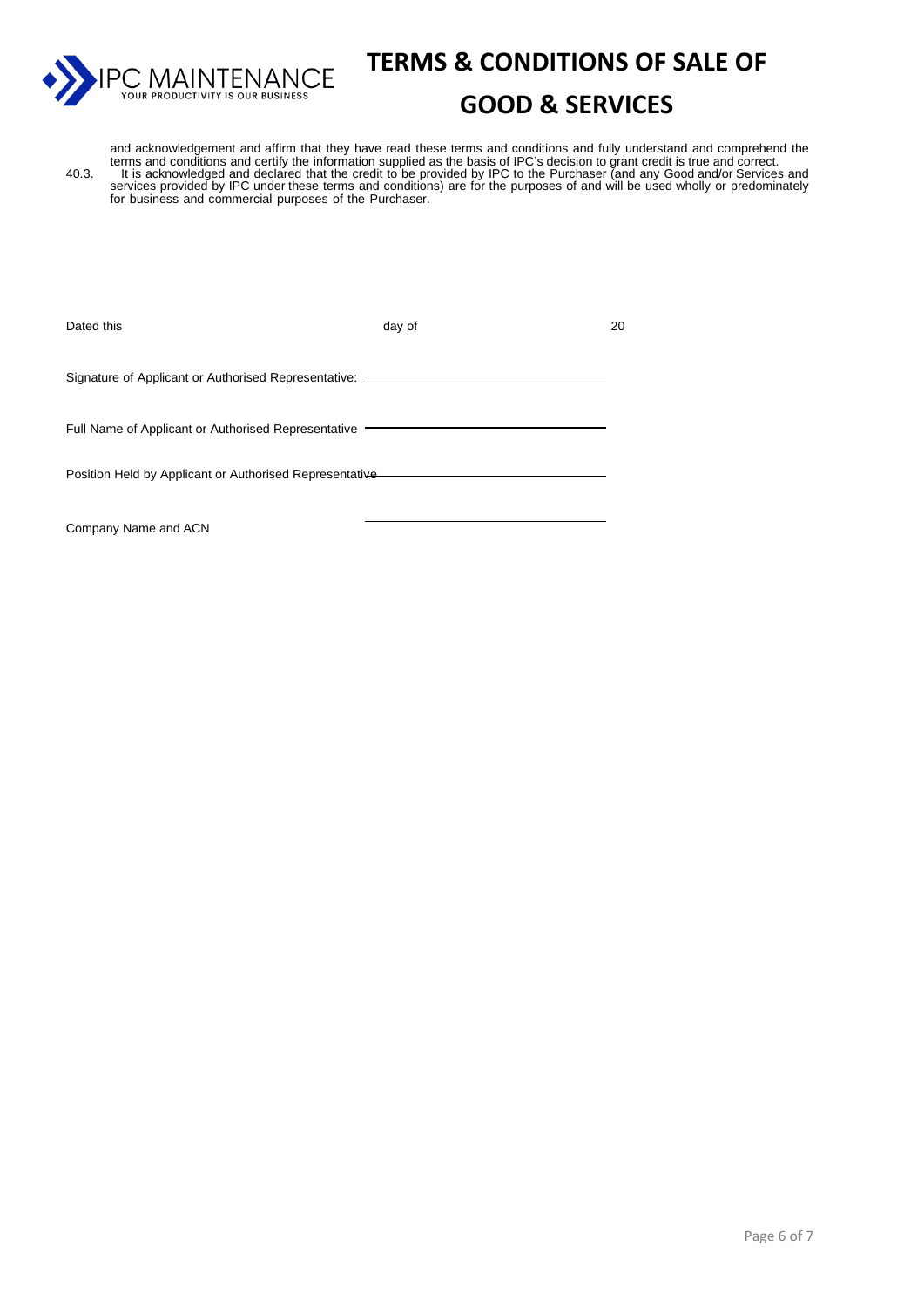

### **GOOD & SERVICES**

and acknowledgement and affirm that they have read these terms and conditions and fully understand and comprehend the terms and conditions and certify the information supplied as the basis of IPC's decision to grant credit is true and correct. 40.3. It is acknowledged and declared that the credit to be provided by IPC to the Purchaser (and any Good and/or Services and services provided by IPC under these terms and conditions) are for the purposes of and will be used wholly or predominately for business and commercial purposes of the Purchaser.

| Dated this                                              | day of | 20 |
|---------------------------------------------------------|--------|----|
| Signature of Applicant or Authorised Representative:    |        |    |
| Full Name of Applicant or Authorised Representative     |        |    |
| Position Held by Applicant or Authorised Representative |        |    |
|                                                         |        |    |

Company Name and ACN